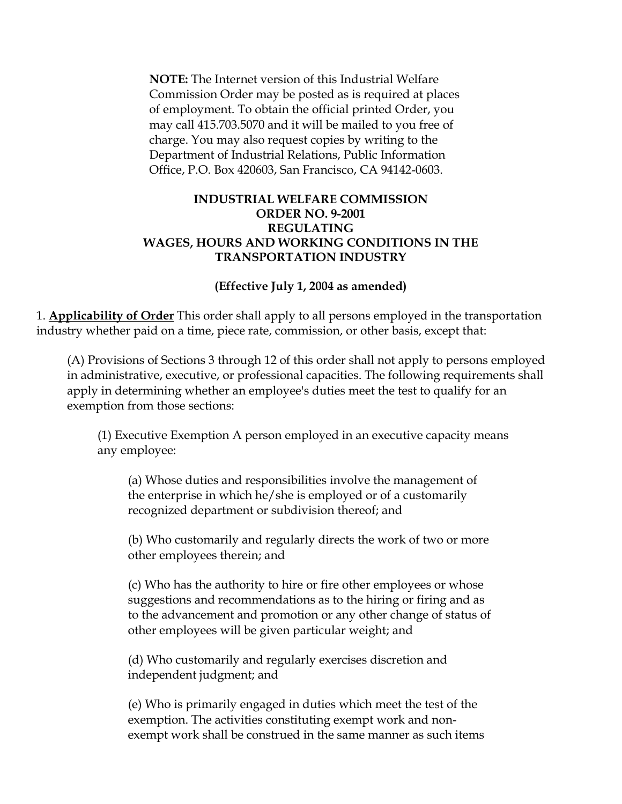**NOTE:** The Internet version of this Industrial Welfare Commission Order may be posted as is required at places of employment. To obtain the official printed Order, you may call 415.703.5070 and it will be mailed to you free of charge. You may also request copies by writing to the Department of Industrial Relations, Public Information Office, P.O. Box 420603, San Francisco, CA 94142-0603.

#### **INDUSTRIAL WELFARE COMMISSION ORDER NO. 9-2001 REGULATING WAGES, HOURS AND WORKING CONDITIONS IN THE TRANSPORTATION INDUSTRY**

#### **(Effective July 1, 2004 as amended)**

1. **Applicability of Order** This order shall apply to all persons employed in the transportation industry whether paid on a time, piece rate, commission, or other basis, except that:

(A) Provisions of Sections 3 through 12 of this order shall not apply to persons employed in administrative, executive, or professional capacities. The following requirements shall apply in determining whether an employee's duties meet the test to qualify for an exemption from those sections:

(1) Executive Exemption A person employed in an executive capacity means any employee:

(a) Whose duties and responsibilities involve the management of the enterprise in which he/she is employed or of a customarily recognized department or subdivision thereof; and

(b) Who customarily and regularly directs the work of two or more other employees therein; and

(c) Who has the authority to hire or fire other employees or whose suggestions and recommendations as to the hiring or firing and as to the advancement and promotion or any other change of status of other employees will be given particular weight; and

(d) Who customarily and regularly exercises discretion and independent judgment; and

(e) Who is primarily engaged in duties which meet the test of the exemption. The activities constituting exempt work and nonexempt work shall be construed in the same manner as such items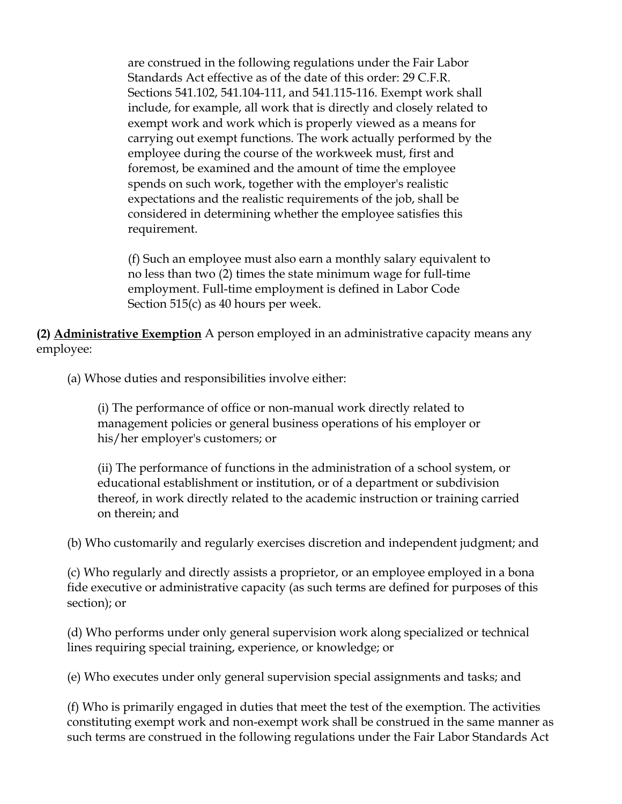are construed in the following regulations under the Fair Labor Standards Act effective as of the date of this order: 29 C.F.R. Sections 541.102, 541.104-111, and 541.115-116. Exempt work shall include, for example, all work that is directly and closely related to exempt work and work which is properly viewed as a means for carrying out exempt functions. The work actually performed by the employee during the course of the workweek must, first and foremost, be examined and the amount of time the employee spends on such work, together with the employer's realistic expectations and the realistic requirements of the job, shall be considered in determining whether the employee satisfies this requirement.

(f) Such an employee must also earn a monthly salary equivalent to no less than two (2) times the state minimum wage for full-time employment. Full-time employment is defined in Labor Code Section 515(c) as 40 hours per week.

**(2) Administrative Exemption** A person employed in an administrative capacity means any employee:

(a) Whose duties and responsibilities involve either:

(i) The performance of office or non-manual work directly related to management policies or general business operations of his employer or his/her employer's customers; or

(ii) The performance of functions in the administration of a school system, or educational establishment or institution, or of a department or subdivision thereof, in work directly related to the academic instruction or training carried on therein; and

(b) Who customarily and regularly exercises discretion and independent judgment; and

(c) Who regularly and directly assists a proprietor, or an employee employed in a bona fide executive or administrative capacity (as such terms are defined for purposes of this section); or

(d) Who performs under only general supervision work along specialized or technical lines requiring special training, experience, or knowledge; or

(e) Who executes under only general supervision special assignments and tasks; and

(f) Who is primarily engaged in duties that meet the test of the exemption. The activities constituting exempt work and non-exempt work shall be construed in the same manner as such terms are construed in the following regulations under the Fair Labor Standards Act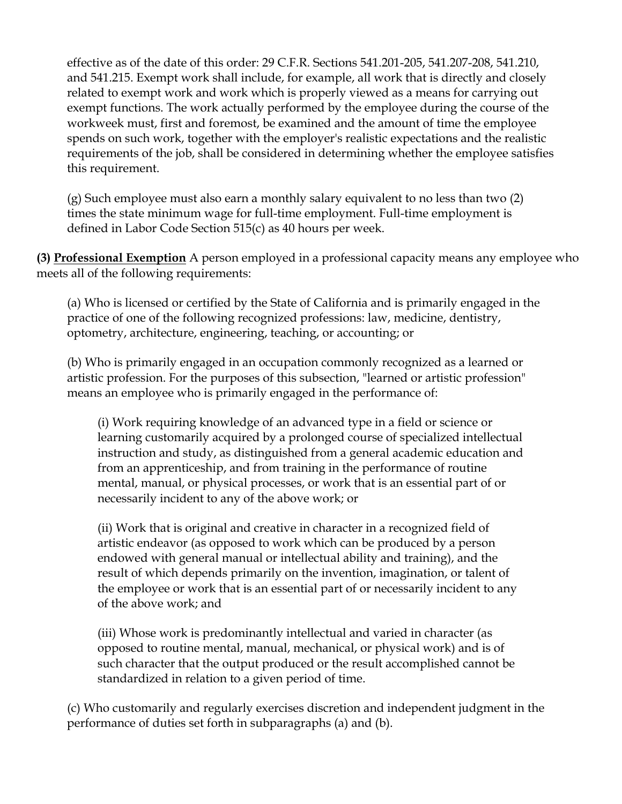effective as of the date of this order: 29 C.F.R. Sections 541.201-205, 541.207-208, 541.210, and 541.215. Exempt work shall include, for example, all work that is directly and closely related to exempt work and work which is properly viewed as a means for carrying out exempt functions. The work actually performed by the employee during the course of the workweek must, first and foremost, be examined and the amount of time the employee spends on such work, together with the employer's realistic expectations and the realistic requirements of the job, shall be considered in determining whether the employee satisfies this requirement.

(g) Such employee must also earn a monthly salary equivalent to no less than two (2) times the state minimum wage for full-time employment. Full-time employment is defined in Labor Code Section 515(c) as 40 hours per week.

**(3) Professional Exemption** A person employed in a professional capacity means any employee who meets all of the following requirements:

(a) Who is licensed or certified by the State of California and is primarily engaged in the practice of one of the following recognized professions: law, medicine, dentistry, optometry, architecture, engineering, teaching, or accounting; or

(b) Who is primarily engaged in an occupation commonly recognized as a learned or artistic profession. For the purposes of this subsection, "learned or artistic profession" means an employee who is primarily engaged in the performance of:

(i) Work requiring knowledge of an advanced type in a field or science or learning customarily acquired by a prolonged course of specialized intellectual instruction and study, as distinguished from a general academic education and from an apprenticeship, and from training in the performance of routine mental, manual, or physical processes, or work that is an essential part of or necessarily incident to any of the above work; or

(ii) Work that is original and creative in character in a recognized field of artistic endeavor (as opposed to work which can be produced by a person endowed with general manual or intellectual ability and training), and the result of which depends primarily on the invention, imagination, or talent of the employee or work that is an essential part of or necessarily incident to any of the above work; and

(iii) Whose work is predominantly intellectual and varied in character (as opposed to routine mental, manual, mechanical, or physical work) and is of such character that the output produced or the result accomplished cannot be standardized in relation to a given period of time.

(c) Who customarily and regularly exercises discretion and independent judgment in the performance of duties set forth in subparagraphs (a) and (b).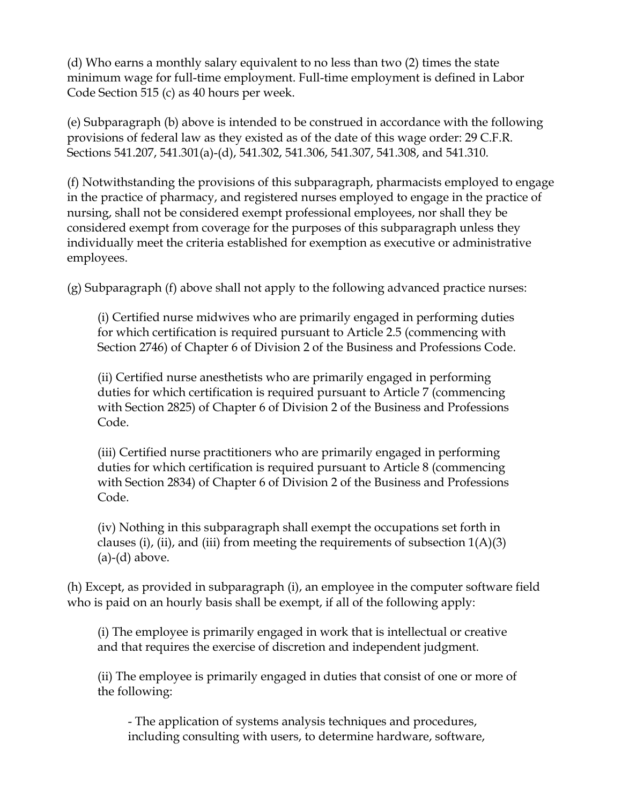(d) Who earns a monthly salary equivalent to no less than two (2) times the state minimum wage for full-time employment. Full-time employment is defined in Labor Code Section 515 (c) as 40 hours per week.

(e) Subparagraph (b) above is intended to be construed in accordance with the following provisions of federal law as they existed as of the date of this wage order: 29 C.F.R. Sections 541.207, 541.301(a)-(d), 541.302, 541.306, 541.307, 541.308, and 541.310.

(f) Notwithstanding the provisions of this subparagraph, pharmacists employed to engage in the practice of pharmacy, and registered nurses employed to engage in the practice of nursing, shall not be considered exempt professional employees, nor shall they be considered exempt from coverage for the purposes of this subparagraph unless they individually meet the criteria established for exemption as executive or administrative employees.

(g) Subparagraph (f) above shall not apply to the following advanced practice nurses:

(i) Certified nurse midwives who are primarily engaged in performing duties for which certification is required pursuant to Article 2.5 (commencing with Section 2746) of Chapter 6 of Division 2 of the Business and Professions Code.

(ii) Certified nurse anesthetists who are primarily engaged in performing duties for which certification is required pursuant to Article 7 (commencing with Section 2825) of Chapter 6 of Division 2 of the Business and Professions Code.

(iii) Certified nurse practitioners who are primarily engaged in performing duties for which certification is required pursuant to Article 8 (commencing with Section 2834) of Chapter 6 of Division 2 of the Business and Professions Code.

(iv) Nothing in this subparagraph shall exempt the occupations set forth in clauses (i), (ii), and (iii) from meeting the requirements of subsection  $1(A)(3)$  $(a)-(d)$  above.

(h) Except, as provided in subparagraph (i), an employee in the computer software field who is paid on an hourly basis shall be exempt, if all of the following apply:

(i) The employee is primarily engaged in work that is intellectual or creative and that requires the exercise of discretion and independent judgment.

(ii) The employee is primarily engaged in duties that consist of one or more of the following:

- The application of systems analysis techniques and procedures, including consulting with users, to determine hardware, software,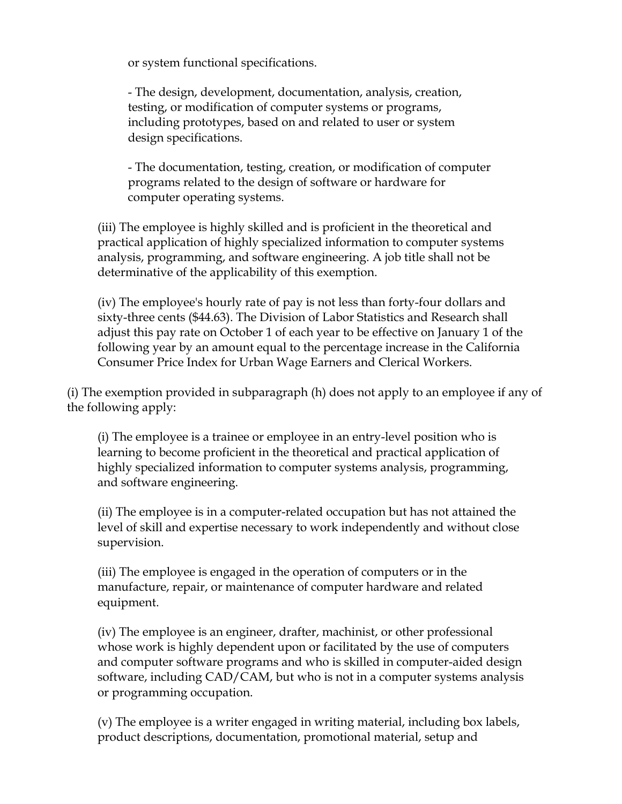or system functional specifications.

- The design, development, documentation, analysis, creation, testing, or modification of computer systems or programs, including prototypes, based on and related to user or system design specifications.

- The documentation, testing, creation, or modification of computer programs related to the design of software or hardware for computer operating systems.

(iii) The employee is highly skilled and is proficient in the theoretical and practical application of highly specialized information to computer systems analysis, programming, and software engineering. A job title shall not be determinative of the applicability of this exemption.

(iv) The employee's hourly rate of pay is not less than forty-four dollars and sixty-three cents (\$44.63). The Division of Labor Statistics and Research shall adjust this pay rate on October 1 of each year to be effective on January 1 of the following year by an amount equal to the percentage increase in the California Consumer Price Index for Urban Wage Earners and Clerical Workers.

(i) The exemption provided in subparagraph (h) does not apply to an employee if any of the following apply:

(i) The employee is a trainee or employee in an entry-level position who is learning to become proficient in the theoretical and practical application of highly specialized information to computer systems analysis, programming, and software engineering.

(ii) The employee is in a computer-related occupation but has not attained the level of skill and expertise necessary to work independently and without close supervision.

(iii) The employee is engaged in the operation of computers or in the manufacture, repair, or maintenance of computer hardware and related equipment.

(iv) The employee is an engineer, drafter, machinist, or other professional whose work is highly dependent upon or facilitated by the use of computers and computer software programs and who is skilled in computer-aided design software, including CAD/CAM, but who is not in a computer systems analysis or programming occupation.

(v) The employee is a writer engaged in writing material, including box labels, product descriptions, documentation, promotional material, setup and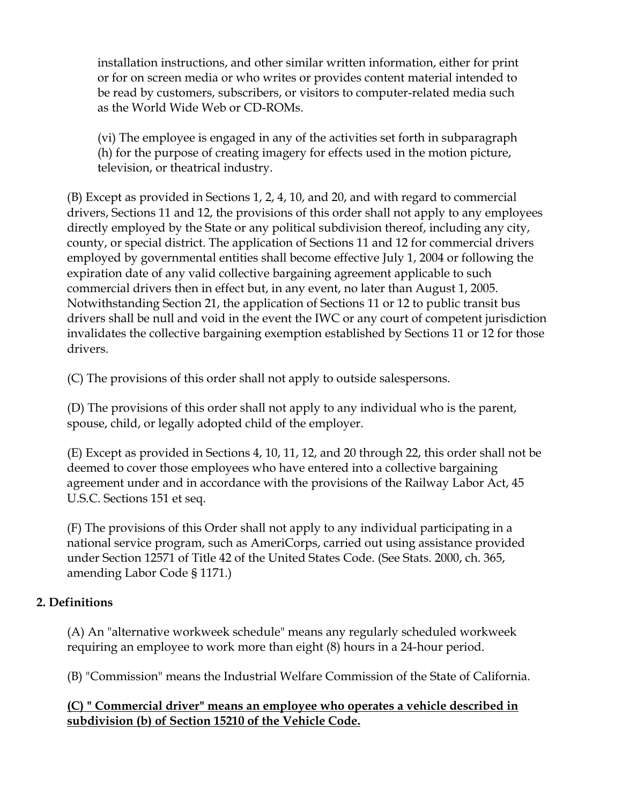installation instructions, and other similar written information, either for print or for on screen media or who writes or provides content material intended to be read by customers, subscribers, or visitors to computer-related media such as the World Wide Web or CD-ROMs.

(vi) The employee is engaged in any of the activities set forth in subparagraph (h) for the purpose of creating imagery for effects used in the motion picture, television, or theatrical industry.

(B) Except as provided in Sections 1, 2, 4, 10, and 20, and with regard to commercial drivers, Sections 11 and 12, the provisions of this order shall not apply to any employees directly employed by the State or any political subdivision thereof, including any city, county, or special district. The application of Sections 11 and 12 for commercial drivers employed by governmental entities shall become effective July 1, 2004 or following the expiration date of any valid collective bargaining agreement applicable to such commercial drivers then in effect but, in any event, no later than August 1, 2005. Notwithstanding Section 21, the application of Sections 11 or 12 to public transit bus drivers shall be null and void in the event the IWC or any court of competent jurisdiction invalidates the collective bargaining exemption established by Sections 11 or 12 for those drivers.

(C) The provisions of this order shall not apply to outside salespersons.

(D) The provisions of this order shall not apply to any individual who is the parent, spouse, child, or legally adopted child of the employer.

(E) Except as provided in Sections 4, 10, 11, 12, and 20 through 22, this order shall not be deemed to cover those employees who have entered into a collective bargaining agreement under and in accordance with the provisions of the Railway Labor Act, 45 U.S.C. Sections 151 et seq.

(F) The provisions of this Order shall not apply to any individual participating in a national service program, such as AmeriCorps, carried out using assistance provided under Section 12571 of Title 42 of the United States Code. (See Stats. 2000, ch. 365, amending Labor Code § 1171.)

# **2. Definitions**

(A) An "alternative workweek schedule" means any regularly scheduled workweek requiring an employee to work more than eight (8) hours in a 24-hour period.

(B) "Commission" means the Industrial Welfare Commission of the State of California.

## **subdivision (b) of Section 15210 of the Vehicle Code. (C) " Commercial driver" means an employee who operates a vehicle described in**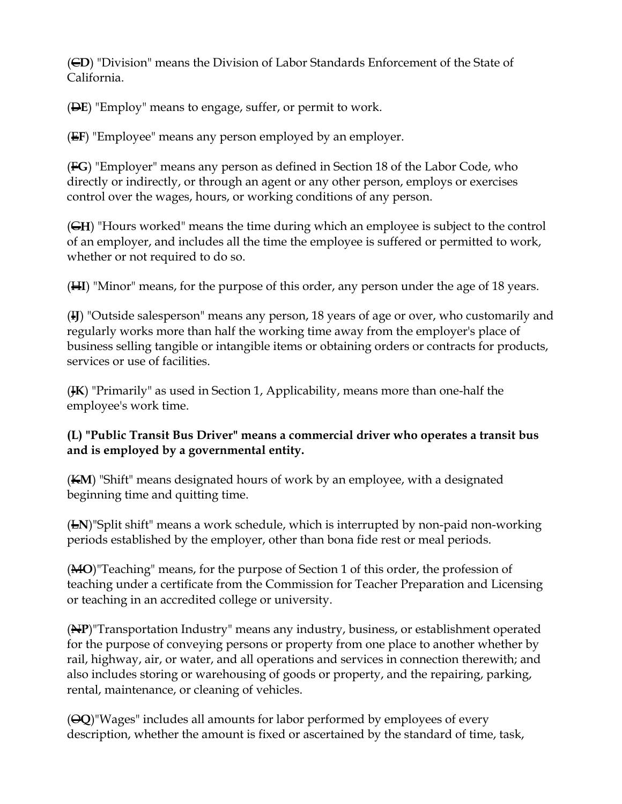(C**D**) "Division" means the Division of Labor Standards Enforcement of the State of California.

(D**E**) "Employ" means to engage, suffer, or permit to work.

(E**F**) "Employee" means any person employed by an employer.

(F**G**) "Employer" means any person as defined in Section 18 of the Labor Code, who directly or indirectly, or through an agent or any other person, employs or exercises control over the wages, hours, or working conditions of any person.

(G**H**) "Hours worked" means the time during which an employee is subject to the control of an employer, and includes all the time the employee is suffered or permitted to work, whether or not required to do so.

(H**I**) "Minor" means, for the purpose of this order, any person under the age of 18 years.

(I**J**) "Outside salesperson" means any person, 18 years of age or over, who customarily and regularly works more than half the working time away from the employer's place of business selling tangible or intangible items or obtaining orders or contracts for products, services or use of facilities.

(J**K**) "Primarily" as used in Section 1, Applicability, means more than one-half the employee's work time.

## **(L) "Public Transit Bus Driver" means a commercial driver who operates a transit bus and is employed by a governmental entity.**

(K**M**) "Shift" means designated hours of work by an employee, with a designated beginning time and quitting time.

(L**N**)"Split shift" means a work schedule, which is interrupted by non-paid non-working periods established by the employer, other than bona fide rest or meal periods.

(M**O**)"Teaching" means, for the purpose of Section 1 of this order, the profession of teaching under a certificate from the Commission for Teacher Preparation and Licensing or teaching in an accredited college or university.

(N**P**)"Transportation Industry" means any industry, business, or establishment operated for the purpose of conveying persons or property from one place to another whether by rail, highway, air, or water, and all operations and services in connection therewith; and also includes storing or warehousing of goods or property, and the repairing, parking, rental, maintenance, or cleaning of vehicles.

(O**Q**)"Wages" includes all amounts for labor performed by employees of every description, whether the amount is fixed or ascertained by the standard of time, task,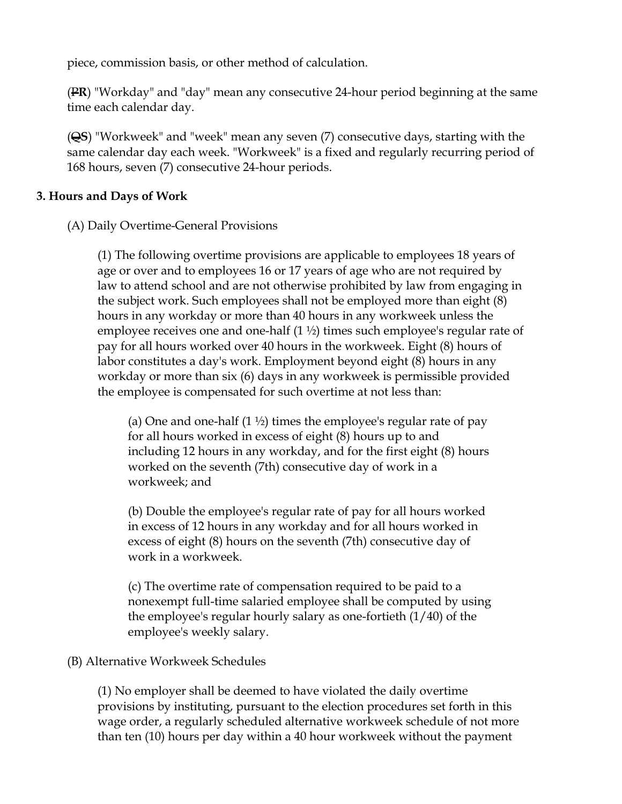piece, commission basis, or other method of calculation.

(P**R**) "Workday" and "day" mean any consecutive 24-hour period beginning at the same time each calendar day.

(Q**S**) "Workweek" and "week" mean any seven (7) consecutive days, starting with the same calendar day each week. "Workweek" is a fixed and regularly recurring period of 168 hours, seven (7) consecutive 24-hour periods.

### **3. Hours and Days of Work**

(A) Daily Overtime-General Provisions

 $(1)$  The following overtime provisions are applicable to employees 18 years of age or over and to employees 16 or 17 years of age who are not required by law to attend school and are not otherwise prohibited by law from engaging in the subject work. Such employees shall not be employed more than eight (8) hours in any workday or more than 40 hours in any workweek unless the employee receives one and one-half  $(1 \frac{1}{2})$  times such employee's regular rate of pay for all hours worked over 40 hours in the workweek. Eight (8) hours of labor constitutes a day's work. Employment beyond eight (8) hours in any workday or more than six (6) days in any workweek is permissible provided the employee is compensated for such overtime at not less than:

(a) One and one-half  $(1 \frac{1}{2})$  times the employee's regular rate of pay for all hours worked in excess of eight (8) hours up to and including 12 hours in any workday, and for the first eight (8) hours worked on the seventh (7th) consecutive day of work in a workweek; and

(b) Double the employee's regular rate of pay for all hours worked in excess of 12 hours in any workday and for all hours worked in excess of eight (8) hours on the seventh (7th) consecutive day of work in a workweek.

(c) The overtime rate of compensation required to be paid to a nonexempt full-time salaried employee shall be computed by using the employee's regular hourly salary as one-fortieth (1/40) of the employee's weekly salary.

### (B) Alternative Workweek Schedules

(1) No employer shall be deemed to have violated the daily overtime provisions by instituting, pursuant to the election procedures set forth in this wage order, a regularly scheduled alternative workweek schedule of not more than ten (10) hours per day within a 40 hour workweek without the payment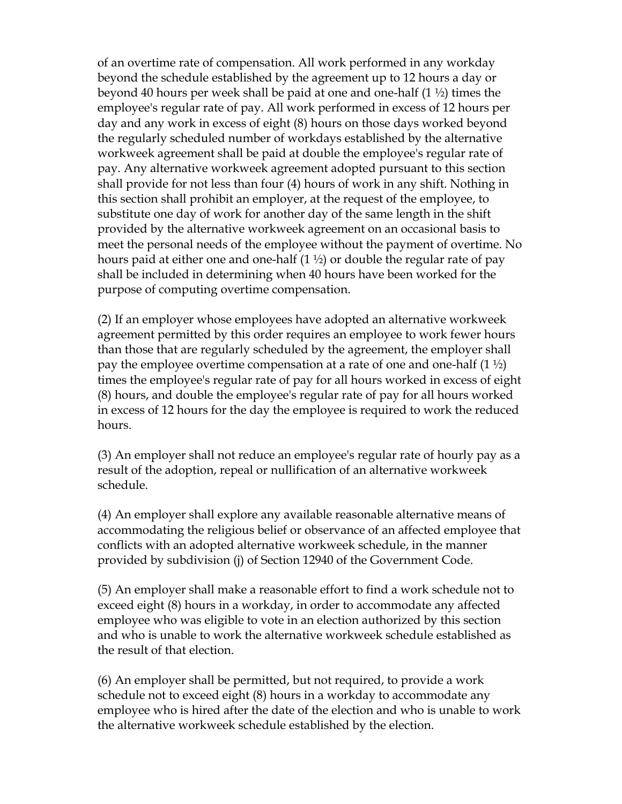of an overtime rate of compensation. All work performed in any workday beyond the schedule established by the agreement up to 12 hours a day or beyond 40 hours per week shall be paid at one and one-half (1 ½) times the employee's regular rate of pay. All work performed in excess of 12 hours per day and any work in excess of eight (8) hours on those days worked beyond the regularly scheduled number of workdays established by the alternative workweek agreement shall be paid at double the employee's regular rate of pay. Any alternative workweek agreement adopted pursuant to this section shall provide for not less than four (4) hours of work in any shift. Nothing in this section shall prohibit an employer, at the request of the employee, to substitute one day of work for another day of the same length in the shift provided by the alternative workweek agreement on an occasional basis to meet the personal needs of the employee without the payment of overtime. No hours paid at either one and one-half (1 ½) or double the regular rate of pay shall be included in determining when 40 hours have been worked for the purpose of computing overtime compensation.

(2) If an employer whose employees have adopted an alternative workweek agreement permitted by this order requires an employee to work fewer hours than those that are regularly scheduled by the agreement, the employer shall pay the employee overtime compensation at a rate of one and one-half  $(1 \frac{1}{2})$ times the employee's regular rate of pay for all hours worked in excess of eight (8) hours, and double the employee's regular rate of pay for all hours worked in excess of 12 hours for the day the employee is required to work the reduced hours.

(3) An employer shall not reduce an employee's regular rate of hourly pay as a result of the adoption, repeal or nullification of an alternative workweek schedule.

(4) An employer shall explore any available reasonable alternative means of accommodating the religious belief or observance of an affected employee that conflicts with an adopted alternative workweek schedule, in the manner provided by subdivision (j) of Section 12940 of the Government Code.

(5) An employer shall make a reasonable effort to find a work schedule not to exceed eight (8) hours in a workday, in order to accommodate any affected employee who was eligible to vote in an election authorized by this section and who is unable to work the alternative workweek schedule established as the result of that election.

(6) An employer shall be permitted, but not required, to provide a work schedule not to exceed eight (8) hours in a workday to accommodate any employee who is hired after the date of the election and who is unable to work the alternative workweek schedule established by the election.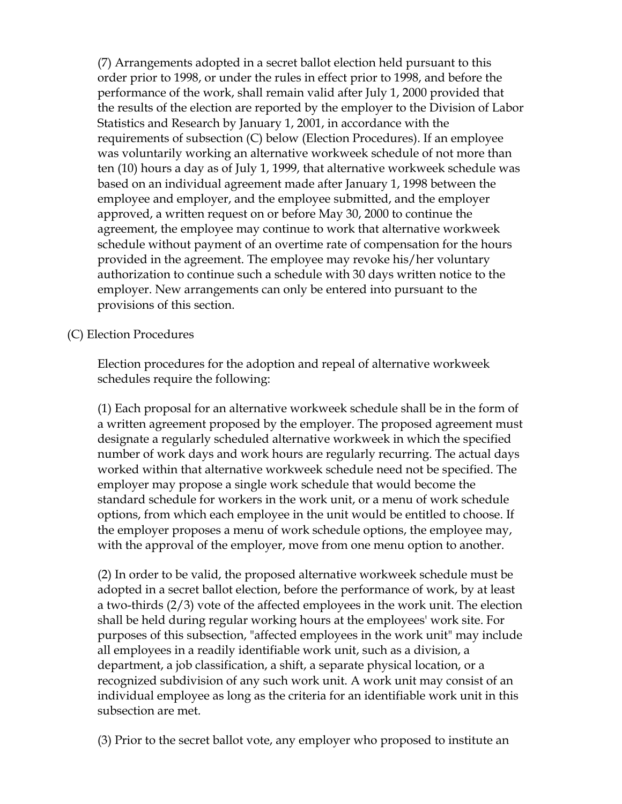(7) Arrangements adopted in a secret ballot election held pursuant to this order prior to 1998, or under the rules in effect prior to 1998, and before the performance of the work, shall remain valid after July 1, 2000 provided that the results of the election are reported by the employer to the Division of Labor Statistics and Research by January 1, 2001, in accordance with the requirements of subsection (C) below (Election Procedures). If an employee was voluntarily working an alternative workweek schedule of not more than ten (10) hours a day as of July 1, 1999, that alternative workweek schedule was based on an individual agreement made after January 1, 1998 between the employee and employer, and the employee submitted, and the employer approved, a written request on or before May 30, 2000 to continue the agreement, the employee may continue to work that alternative workweek schedule without payment of an overtime rate of compensation for the hours provided in the agreement. The employee may revoke his/her voluntary authorization to continue such a schedule with 30 days written notice to the employer. New arrangements can only be entered into pursuant to the provisions of this section.

#### (C) Election Procedures

Election procedures for the adoption and repeal of alternative workweek schedules require the following:

(1) Each proposal for an alternative workweek schedule shall be in the form of a written agreement proposed by the employer. The proposed agreement must designate a regularly scheduled alternative workweek in which the specified number of work days and work hours are regularly recurring. The actual days worked within that alternative workweek schedule need not be specified. The employer may propose a single work schedule that would become the standard schedule for workers in the work unit, or a menu of work schedule options, from which each employee in the unit would be entitled to choose. If the employer proposes a menu of work schedule options, the employee may, with the approval of the employer, move from one menu option to another.

(2) In order to be valid, the proposed alternative workweek schedule must be adopted in a secret ballot election, before the performance of work, by at least a two-thirds (2/3) vote of the affected employees in the work unit. The election shall be held during regular working hours at the employees' work site. For purposes of this subsection, "affected employees in the work unit" may include all employees in a readily identifiable work unit, such as a division, a department, a job classification, a shift, a separate physical location, or a recognized subdivision of any such work unit. A work unit may consist of an individual employee as long as the criteria for an identifiable work unit in this subsection are met.

(3) Prior to the secret ballot vote, any employer who proposed to institute an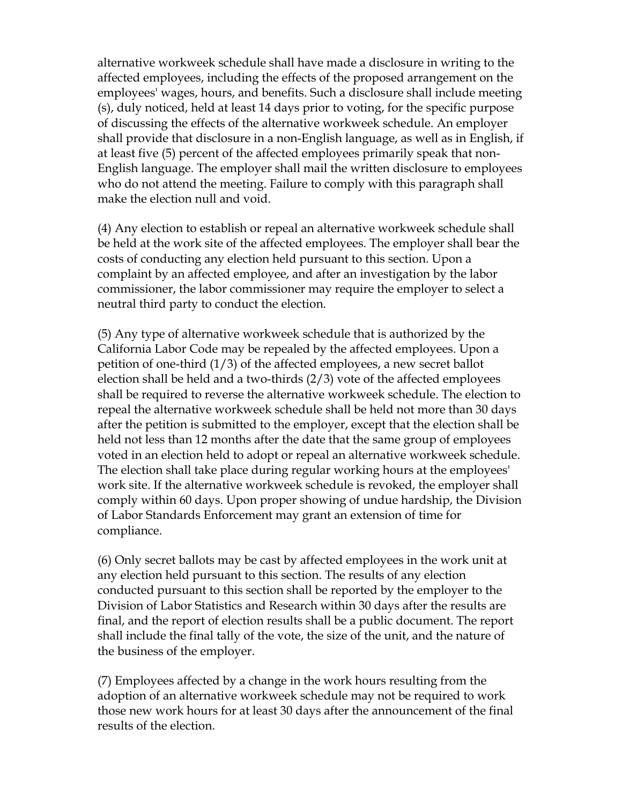alternative workweek schedule shall have made a disclosure in writing to the affected employees, including the effects of the proposed arrangement on the employees' wages, hours, and benefits. Such a disclosure shall include meeting (s), duly noticed, held at least 14 days prior to voting, for the specific purpose of discussing the effects of the alternative workweek schedule. An employer shall provide that disclosure in a non-English language, as well as in English, if at least five (5) percent of the affected employees primarily speak that non-English language. The employer shall mail the written disclosure to employees who do not attend the meeting. Failure to comply with this paragraph shall make the election null and void.

(4) Any election to establish or repeal an alternative workweek schedule shall be held at the work site of the affected employees. The employer shall bear the costs of conducting any election held pursuant to this section. Upon a complaint by an affected employee, and after an investigation by the labor commissioner, the labor commissioner may require the employer to select a neutral third party to conduct the election.

(5) Any type of alternative workweek schedule that is authorized by the California Labor Code may be repealed by the affected employees. Upon a petition of one-third (1/3) of the affected employees, a new secret ballot election shall be held and a two-thirds (2/3) vote of the affected employees shall be required to reverse the alternative workweek schedule. The election to repeal the alternative workweek schedule shall be held not more than 30 days after the petition is submitted to the employer, except that the election shall be held not less than 12 months after the date that the same group of employees voted in an election held to adopt or repeal an alternative workweek schedule. The election shall take place during regular working hours at the employees' work site. If the alternative workweek schedule is revoked, the employer shall comply within 60 days. Upon proper showing of undue hardship, the Division of Labor Standards Enforcement may grant an extension of time for compliance.

(6) Only secret ballots may be cast by affected employees in the work unit at any election held pursuant to this section. The results of any election conducted pursuant to this section shall be reported by the employer to the Division of Labor Statistics and Research within 30 days after the results are final, and the report of election results shall be a public document. The report shall include the final tally of the vote, the size of the unit, and the nature of the business of the employer.

(7) Employees affected by a change in the work hours resulting from the adoption of an alternative workweek schedule may not be required to work those new work hours for at least 30 days after the announcement of the final results of the election.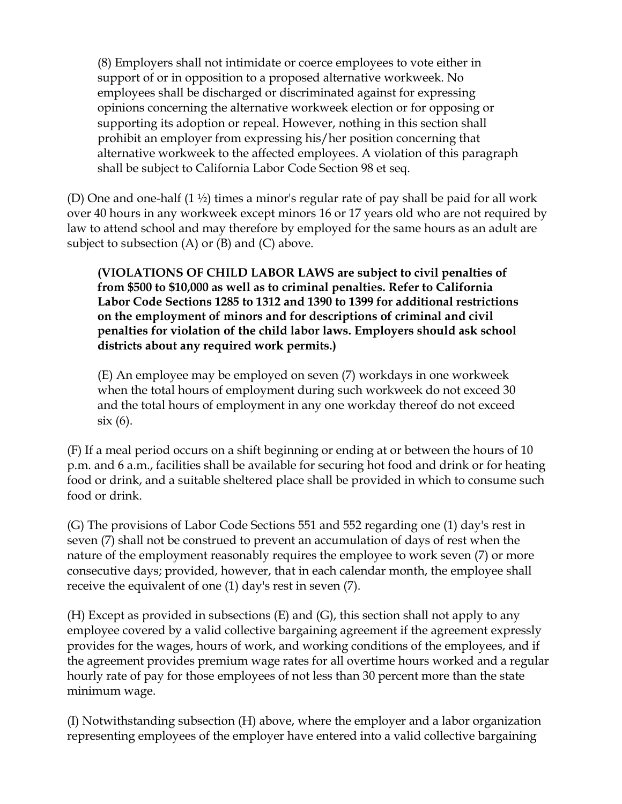(8) Employers shall not intimidate or coerce employees to vote either in support of or in opposition to a proposed alternative workweek. No employees shall be discharged or discriminated against for expressing opinions concerning the alternative workweek election or for opposing or supporting its adoption or repeal. However, nothing in this section shall prohibit an employer from expressing his/her position concerning that alternative workweek to the affected employees. A violation of this paragraph shall be subject to California Labor Code Section 98 et seq.

(D) One and one-half  $(1 \frac{1}{2})$  times a minor's regular rate of pay shall be paid for all work over 40 hours in any workweek except minors 16 or 17 years old who are not required by law to attend school and may therefore by employed for the same hours as an adult are subject to subsection  $(A)$  or  $(B)$  and  $(C)$  above.

 **districts about any required work permits.) (VIOLATIONS OF CHILD LABOR LAWS are subject to civil penalties of from \$500 to \$10,000 as well as to criminal penalties. Refer to California Labor Code Sections 1285 to 1312 and 1390 to 1399 for additional restrictions on the employment of minors and for descriptions of criminal and civil penalties for violation of the child labor laws. Employers should ask school** 

(E) An employee may be employed on seven (7) workdays in one workweek when the total hours of employment during such workweek do not exceed 30 and the total hours of employment in any one workday thereof do not exceed six (6).

(F) If a meal period occurs on a shift beginning or ending at or between the hours of 10 p.m. and 6 a.m., facilities shall be available for securing hot food and drink or for heating food or drink, and a suitable sheltered place shall be provided in which to consume such food or drink.

(G) The provisions of Labor Code Sections 551 and 552 regarding one (1) day's rest in seven (7) shall not be construed to prevent an accumulation of days of rest when the nature of the employment reasonably requires the employee to work seven (7) or more consecutive days; provided, however, that in each calendar month, the employee shall receive the equivalent of one (1) day's rest in seven (7).

(H) Except as provided in subsections (E) and (G), this section shall not apply to any employee covered by a valid collective bargaining agreement if the agreement expressly provides for the wages, hours of work, and working conditions of the employees, and if the agreement provides premium wage rates for all overtime hours worked and a regular hourly rate of pay for those employees of not less than 30 percent more than the state minimum wage.

(I) Notwithstanding subsection (H) above, where the employer and a labor organization representing employees of the employer have entered into a valid collective bargaining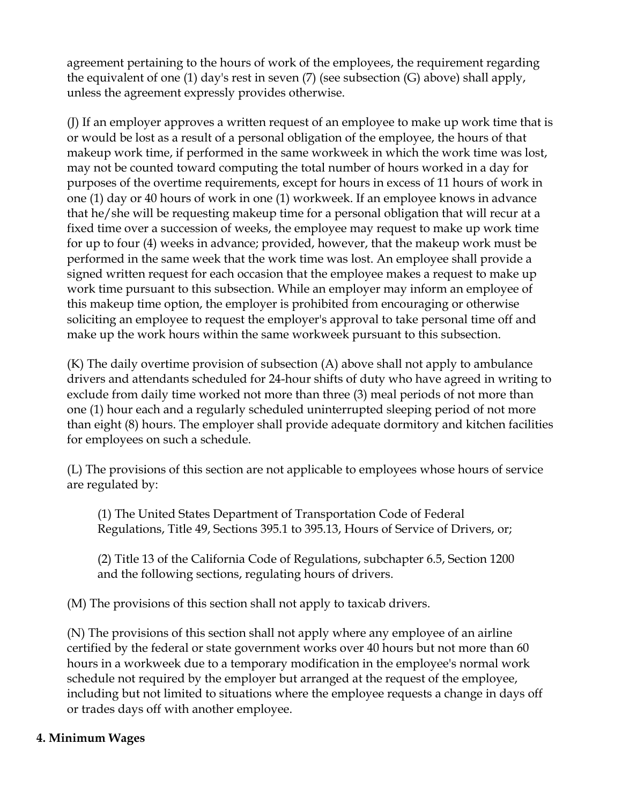agreement pertaining to the hours of work of the employees, the requirement regarding the equivalent of one (1) day's rest in seven (7) (see subsection (G) above) shall apply, unless the agreement expressly provides otherwise.

(J) If an employer approves a written request of an employee to make up work time that is or would be lost as a result of a personal obligation of the employee, the hours of that makeup work time, if performed in the same workweek in which the work time was lost, may not be counted toward computing the total number of hours worked in a day for purposes of the overtime requirements, except for hours in excess of 11 hours of work in one (1) day or 40 hours of work in one (1) workweek. If an employee knows in advance that he/she will be requesting makeup time for a personal obligation that will recur at a fixed time over a succession of weeks, the employee may request to make up work time for up to four (4) weeks in advance; provided, however, that the makeup work must be performed in the same week that the work time was lost. An employee shall provide a signed written request for each occasion that the employee makes a request to make up work time pursuant to this subsection. While an employer may inform an employee of this makeup time option, the employer is prohibited from encouraging or otherwise soliciting an employee to request the employer's approval to take personal time off and make up the work hours within the same workweek pursuant to this subsection.

(K) The daily overtime provision of subsection (A) above shall not apply to ambulance drivers and attendants scheduled for 24-hour shifts of duty who have agreed in writing to exclude from daily time worked not more than three (3) meal periods of not more than one (1) hour each and a regularly scheduled uninterrupted sleeping period of not more than eight (8) hours. The employer shall provide adequate dormitory and kitchen facilities for employees on such a schedule.

(L) The provisions of this section are not applicable to employees whose hours of service are regulated by:

(1) The United States Department of Transportation Code of Federal Regulations, Title 49, Sections 395.1 to 395.13, Hours of Service of Drivers, or;

(2) Title 13 of the California Code of Regulations, subchapter 6.5, Section 1200 and the following sections, regulating hours of drivers.

(M) The provisions of this section shall not apply to taxicab drivers.

(N) The provisions of this section shall not apply where any employee of an airline certified by the federal or state government works over 40 hours but not more than 60 hours in a workweek due to a temporary modification in the employee's normal work schedule not required by the employer but arranged at the request of the employee, including but not limited to situations where the employee requests a change in days off or trades days off with another employee.

# **4. Minimum Wages**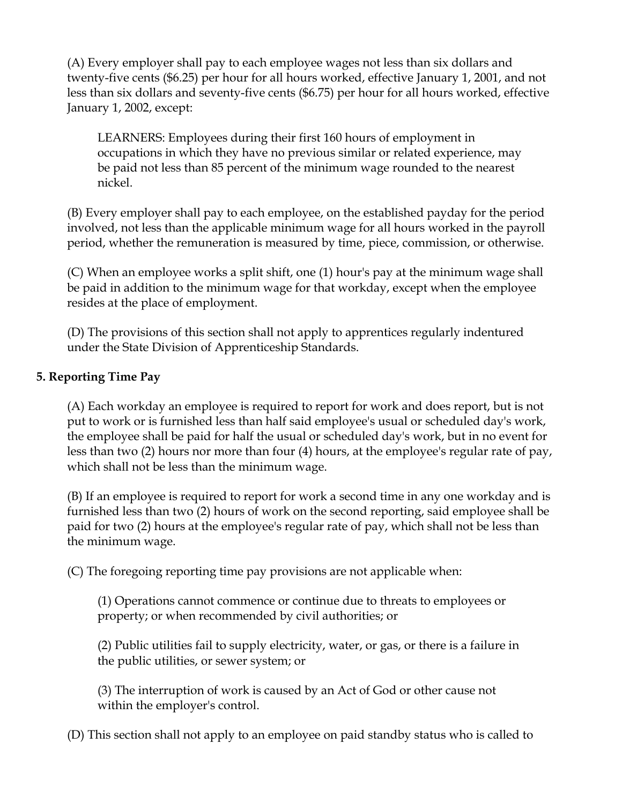(A) Every employer shall pay to each employee wages not less than six dollars and twenty-five cents (\$6.25) per hour for all hours worked, effective January 1, 2001, and not less than six dollars and seventy-five cents (\$6.75) per hour for all hours worked, effective January 1, 2002, except:

LEARNERS: Employees during their first 160 hours of employment in occupations in which they have no previous similar or related experience, may be paid not less than 85 percent of the minimum wage rounded to the nearest nickel.

(B) Every employer shall pay to each employee, on the established payday for the period involved, not less than the applicable minimum wage for all hours worked in the payroll period, whether the remuneration is measured by time, piece, commission, or otherwise.

(C) When an employee works a split shift, one (1) hour's pay at the minimum wage shall be paid in addition to the minimum wage for that workday, except when the employee resides at the place of employment.

(D) The provisions of this section shall not apply to apprentices regularly indentured under the State Division of Apprenticeship Standards.

## **5. Reporting Time Pay**

(A) Each workday an employee is required to report for work and does report, but is not put to work or is furnished less than half said employee's usual or scheduled day's work, the employee shall be paid for half the usual or scheduled day's work, but in no event for less than two (2) hours nor more than four (4) hours, at the employee's regular rate of pay, which shall not be less than the minimum wage.

(B) If an employee is required to report for work a second time in any one workday and is furnished less than two (2) hours of work on the second reporting, said employee shall be paid for two (2) hours at the employee's regular rate of pay, which shall not be less than the minimum wage.

(C) The foregoing reporting time pay provisions are not applicable when:

(1) Operations cannot commence or continue due to threats to employees or property; or when recommended by civil authorities; or

(2) Public utilities fail to supply electricity, water, or gas, or there is a failure in the public utilities, or sewer system; or

(3) The interruption of work is caused by an Act of God or other cause not within the employer's control.

(D) This section shall not apply to an employee on paid standby status who is called to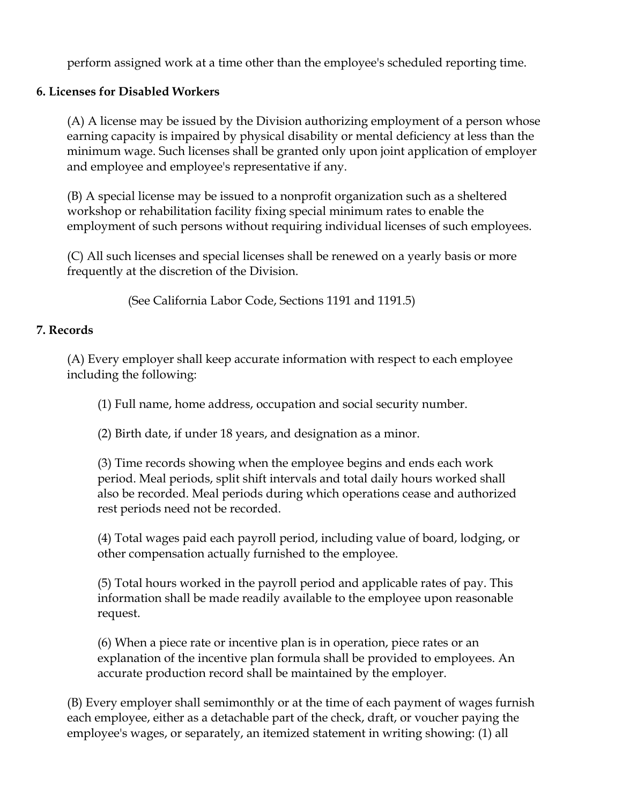perform assigned work at a time other than the employee's scheduled reporting time.

### **6. Licenses for Disabled Workers**

(A) A license may be issued by the Division authorizing employment of a person whose earning capacity is impaired by physical disability or mental deficiency at less than the minimum wage. Such licenses shall be granted only upon joint application of employer and employee and employee's representative if any.

(B) A special license may be issued to a nonprofit organization such as a sheltered workshop or rehabilitation facility fixing special minimum rates to enable the employment of such persons without requiring individual licenses of such employees.

(C) All such licenses and special licenses shall be renewed on a yearly basis or more frequently at the discretion of the Division.

(See California Labor Code, Sections 1191 and 1191.5)

### **7. Records**

(A) Every employer shall keep accurate information with respect to each employee including the following:

(1) Full name, home address, occupation and social security number.

(2) Birth date, if under 18 years, and designation as a minor.

(3) Time records showing when the employee begins and ends each work period. Meal periods, split shift intervals and total daily hours worked shall also be recorded. Meal periods during which operations cease and authorized rest periods need not be recorded.

(4) Total wages paid each payroll period, including value of board, lodging, or other compensation actually furnished to the employee.

(5) Total hours worked in the payroll period and applicable rates of pay. This information shall be made readily available to the employee upon reasonable request.

(6) When a piece rate or incentive plan is in operation, piece rates or an explanation of the incentive plan formula shall be provided to employees. An accurate production record shall be maintained by the employer.

(B) Every employer shall semimonthly or at the time of each payment of wages furnish each employee, either as a detachable part of the check, draft, or voucher paying the employee's wages, or separately, an itemized statement in writing showing: (1) all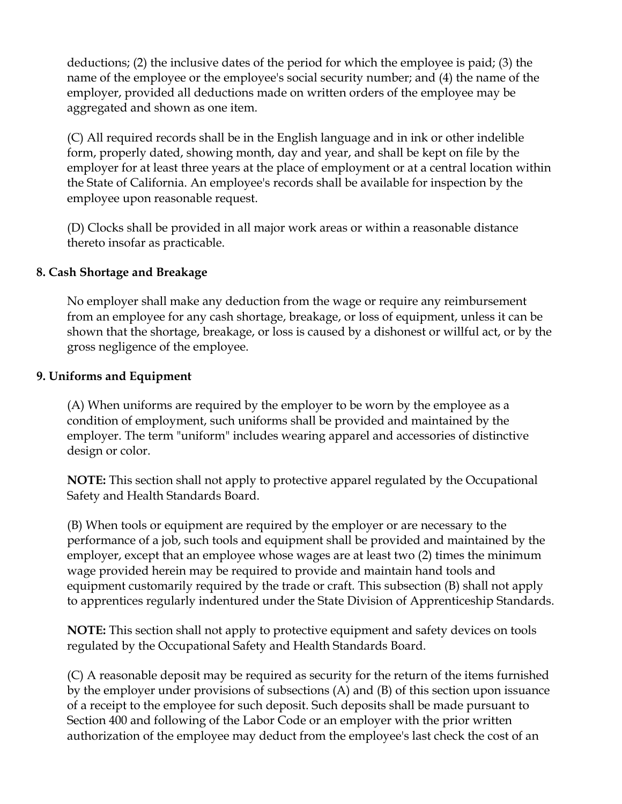deductions; (2) the inclusive dates of the period for which the employee is paid; (3) the name of the employee or the employee's social security number; and (4) the name of the employer, provided all deductions made on written orders of the employee may be aggregated and shown as one item.

(C) All required records shall be in the English language and in ink or other indelible form, properly dated, showing month, day and year, and shall be kept on file by the employer for at least three years at the place of employment or at a central location within the State of California. An employee's records shall be available for inspection by the employee upon reasonable request.

(D) Clocks shall be provided in all major work areas or within a reasonable distance thereto insofar as practicable.

### **8. Cash Shortage and Breakage**

No employer shall make any deduction from the wage or require any reimbursement from an employee for any cash shortage, breakage, or loss of equipment, unless it can be shown that the shortage, breakage, or loss is caused by a dishonest or willful act, or by the gross negligence of the employee.

### **9. Uniforms and Equipment**

(A) When uniforms are required by the employer to be worn by the employee as a condition of employment, such uniforms shall be provided and maintained by the employer. The term "uniform" includes wearing apparel and accessories of distinctive design or color.

**NOTE:** This section shall not apply to protective apparel regulated by the Occupational Safety and Health Standards Board.

(B) When tools or equipment are required by the employer or are necessary to the performance of a job, such tools and equipment shall be provided and maintained by the employer, except that an employee whose wages are at least two (2) times the minimum wage provided herein may be required to provide and maintain hand tools and equipment customarily required by the trade or craft. This subsection (B) shall not apply to apprentices regularly indentured under the State Division of Apprenticeship Standards.

**NOTE:** This section shall not apply to protective equipment and safety devices on tools regulated by the Occupational Safety and Health Standards Board.

(C) A reasonable deposit may be required as security for the return of the items furnished by the employer under provisions of subsections (A) and (B) of this section upon issuance of a receipt to the employee for such deposit. Such deposits shall be made pursuant to Section 400 and following of the Labor Code or an employer with the prior written authorization of the employee may deduct from the employee's last check the cost of an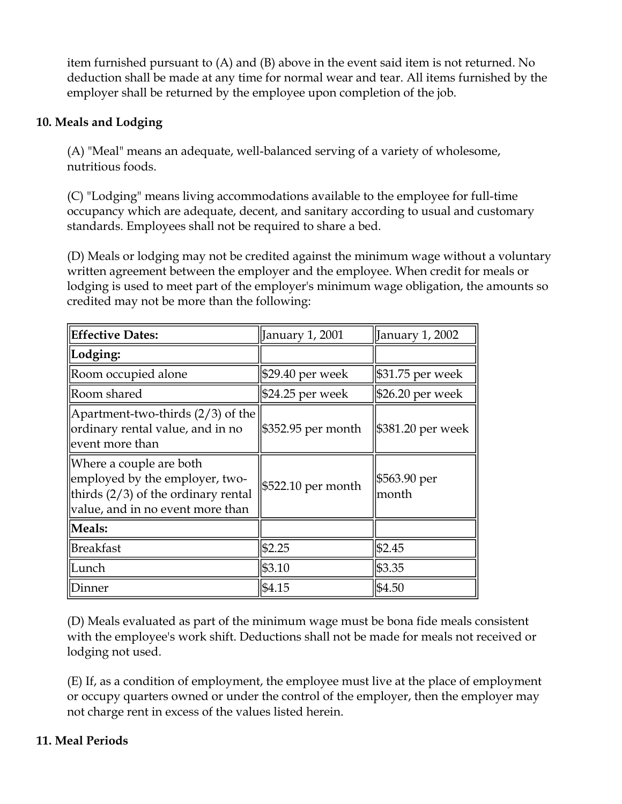item furnished pursuant to (A) and (B) above in the event said item is not returned. No deduction shall be made at any time for normal wear and tear. All items furnished by the employer shall be returned by the employee upon completion of the job.

## **10. Meals and Lodging**

(A) "Meal" means an adequate, well-balanced serving of a variety of wholesome, nutritious foods.

(C) "Lodging" means living accommodations available to the employee for full-time occupancy which are adequate, decent, and sanitary according to usual and customary standards. Employees shall not be required to share a bed.

(D) Meals or lodging may not be credited against the minimum wage without a voluntary written agreement between the employer and the employee. When credit for meals or lodging is used to meet part of the employer's minimum wage obligation, the amounts so credited may not be more than the following:

| <b>Effective Dates:</b>                                                                                                                | January 1, 2001     | January 1, 2002        |
|----------------------------------------------------------------------------------------------------------------------------------------|---------------------|------------------------|
| Lodging:                                                                                                                               |                     |                        |
| Room occupied alone                                                                                                                    | $$29.40$ per week   | $$31.75$ per week      |
| Room shared                                                                                                                            | $$24.25$ per week   | \$26.20 per week       |
| Apartment-two-thirds $(2/3)$ of the<br>ordinary rental value, and in no<br>event more than                                             | $$352.95$ per month | \$381.20 per week      |
| Where a couple are both<br>employed by the employer, two-<br>thirds $(2/3)$ of the ordinary rental<br>value, and in no event more than | \$522.10 per month  | \$563.90 per<br>lmonth |
| Meals:                                                                                                                                 |                     |                        |
| Breakfast                                                                                                                              | \$2.25              | \$2.45                 |
| Lunch                                                                                                                                  | \$3.10              | \$3.35                 |
| Dinner                                                                                                                                 | \$4.15              | \$4.50                 |

(D) Meals evaluated as part of the minimum wage must be bona fide meals consistent with the employee's work shift. Deductions shall not be made for meals not received or lodging not used.

(E) If, as a condition of employment, the employee must live at the place of employment or occupy quarters owned or under the control of the employer, then the employer may not charge rent in excess of the values listed herein.

### **11. Meal Periods**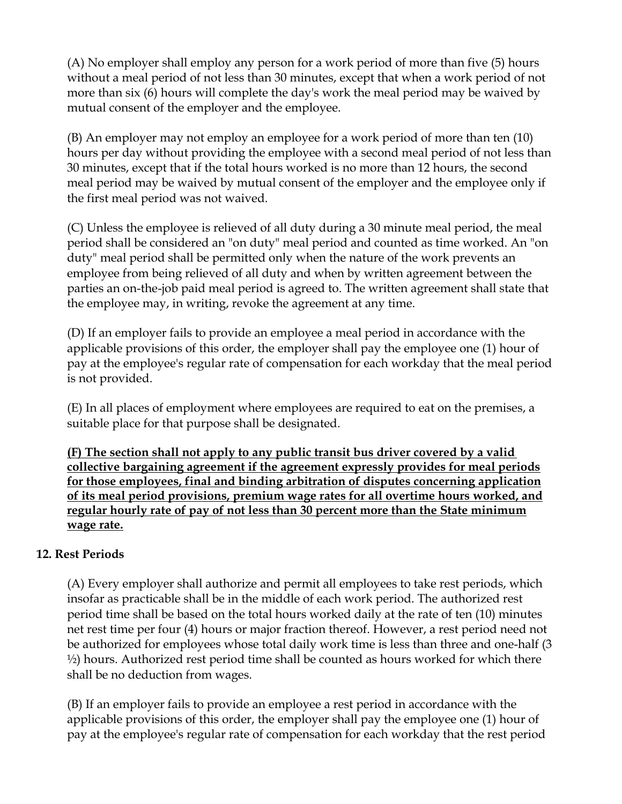(A) No employer shall employ any person for a work period of more than five (5) hours without a meal period of not less than 30 minutes, except that when a work period of not more than six (6) hours will complete the day's work the meal period may be waived by mutual consent of the employer and the employee.

(B) An employer may not employ an employee for a work period of more than ten (10) hours per day without providing the employee with a second meal period of not less than 30 minutes, except that if the total hours worked is no more than 12 hours, the second meal period may be waived by mutual consent of the employer and the employee only if the first meal period was not waived.

(C) Unless the employee is relieved of all duty during a 30 minute meal period, the meal period shall be considered an "on duty" meal period and counted as time worked. An "on duty" meal period shall be permitted only when the nature of the work prevents an employee from being relieved of all duty and when by written agreement between the parties an on-the-job paid meal period is agreed to. The written agreement shall state that the employee may, in writing, revoke the agreement at any time.

is not provided. (D) If an employer fails to provide an employee a meal period in accordance with the applicable provisions of this order, the employer shall pay the employee one (1) hour of pay at the employee's regular rate of compensation for each workday that the meal period

(E) In all places of employment where employees are required to eat on the premises, a suitable place for that purpose shall be designated.

**(F) The section shall not apply to any public transit bus driver covered by a valid collective bargaining agreement if the agreement expressly provides for meal periods for those employees, final and binding arbitration of disputes concerning application of its meal period provisions, premium wage rates for all overtime hours worked, and regular hourly rate of pay of not less than 30 percent more than the State minimum wage rate.** 

# **12. Rest Periods**

(A) Every employer shall authorize and permit all employees to take rest periods, which insofar as practicable shall be in the middle of each work period. The authorized rest period time shall be based on the total hours worked daily at the rate of ten (10) minutes net rest time per four (4) hours or major fraction thereof. However, a rest period need not be authorized for employees whose total daily work time is less than three and one-half (3  $\frac{1}{2}$ ) hours. Authorized rest period time shall be counted as hours worked for which there shall be no deduction from wages.

(B) If an employer fails to provide an employee a rest period in accordance with the applicable provisions of this order, the employer shall pay the employee one (1) hour of pay at the employee's regular rate of compensation for each workday that the rest period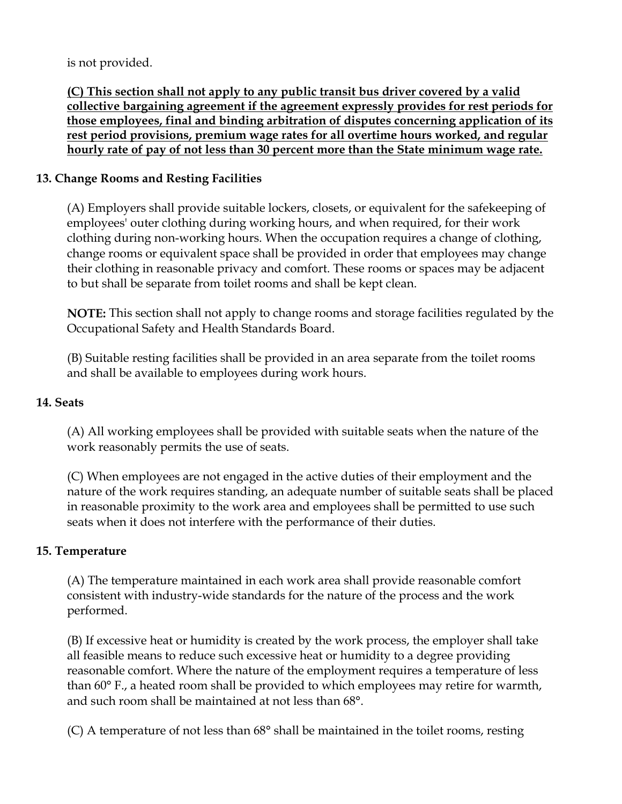is not provided.

**(C) This section shall not apply to any public transit bus driver covered by a valid collective bargaining agreement if the agreement expressly provides for rest periods for those employees, final and binding arbitration of disputes concerning application of its rest period provisions, premium wage rates for all overtime hours worked, and regular hourly rate of pay of not less than 30 percent more than the State minimum wage rate.** 

# **13. Change Rooms and Resting Facilities**

(A) Employers shall provide suitable lockers, closets, or equivalent for the safekeeping of employees' outer clothing during working hours, and when required, for their work clothing during non-working hours. When the occupation requires a change of clothing, change rooms or equivalent space shall be provided in order that employees may change their clothing in reasonable privacy and comfort. These rooms or spaces may be adjacent to but shall be separate from toilet rooms and shall be kept clean.

**NOTE:** This section shall not apply to change rooms and storage facilities regulated by the Occupational Safety and Health Standards Board.

(B) Suitable resting facilities shall be provided in an area separate from the toilet rooms and shall be available to employees during work hours.

# **14. Seats**

(A) All working employees shall be provided with suitable seats when the nature of the work reasonably permits the use of seats.

(C) When employees are not engaged in the active duties of their employment and the nature of the work requires standing, an adequate number of suitable seats shall be placed in reasonable proximity to the work area and employees shall be permitted to use such seats when it does not interfere with the performance of their duties.

# **15. Temperature**

(A) The temperature maintained in each work area shall provide reasonable comfort consistent with industry-wide standards for the nature of the process and the work performed.

(B) If excessive heat or humidity is created by the work process, the employer shall take all feasible means to reduce such excessive heat or humidity to a degree providing reasonable comfort. Where the nature of the employment requires a temperature of less than 60° F., a heated room shall be provided to which employees may retire for warmth, and such room shall be maintained at not less than 68°.

(C) A temperature of not less than 68° shall be maintained in the toilet rooms, resting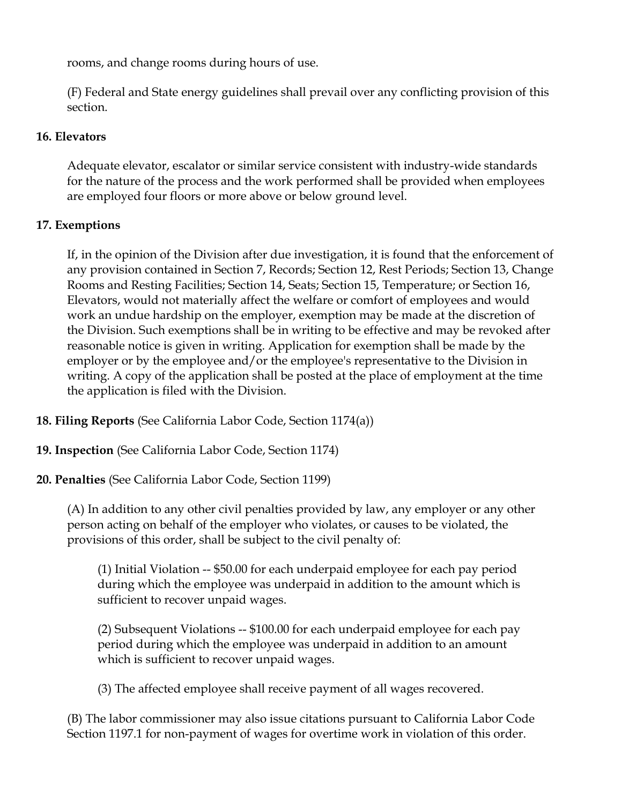rooms, and change rooms during hours of use.

(F) Federal and State energy guidelines shall prevail over any conflicting provision of this section.

### **16. Elevators**

Adequate elevator, escalator or similar service consistent with industry-wide standards for the nature of the process and the work performed shall be provided when employees are employed four floors or more above or below ground level.

### **17. Exemptions**

If, in the opinion of the Division after due investigation, it is found that the enforcement of any provision contained in Section 7, Records; Section 12, Rest Periods; Section 13, Change Rooms and Resting Facilities; Section 14, Seats; Section 15, Temperature; or Section 16, Elevators, would not materially affect the welfare or comfort of employees and would work an undue hardship on the employer, exemption may be made at the discretion of the Division. Such exemptions shall be in writing to be effective and may be revoked after reasonable notice is given in writing. Application for exemption shall be made by the employer or by the employee and/or the employee's representative to the Division in writing. A copy of the application shall be posted at the place of employment at the time the application is filed with the Division.

**18. Filing Reports** (See California Labor Code, Section 1174(a))

**19. Inspection** (See California Labor Code, Section 1174)

**20. Penalties** (See California Labor Code, Section 1199)

(A) In addition to any other civil penalties provided by law, any employer or any other person acting on behalf of the employer who violates, or causes to be violated, the provisions of this order, shall be subject to the civil penalty of:

(1) Initial Violation -- \$50.00 for each underpaid employee for each pay period during which the employee was underpaid in addition to the amount which is sufficient to recover unpaid wages.

(2) Subsequent Violations -- \$100.00 for each underpaid employee for each pay period during which the employee was underpaid in addition to an amount which is sufficient to recover unpaid wages.

(3) The affected employee shall receive payment of all wages recovered.

(B) The labor commissioner may also issue citations pursuant to California Labor Code Section 1197.1 for non-payment of wages for overtime work in violation of this order.